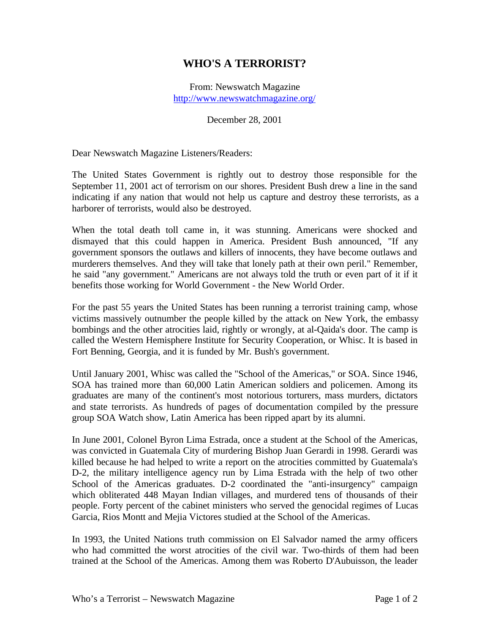## **WHO'S A TERRORIST?**

From: Newswatch Magazine http://www.newswatchmagazine.org/

## December 28, 2001

Dear Newswatch Magazine Listeners/Readers:

The United States Government is rightly out to destroy those responsible for the September 11, 2001 act of terrorism on our shores. President Bush drew a line in the sand indicating if any nation that would not help us capture and destroy these terrorists, as a harborer of terrorists, would also be destroyed.

When the total death toll came in, it was stunning. Americans were shocked and dismayed that this could happen in America. President Bush announced, "If any government sponsors the outlaws and killers of innocents, they have become outlaws and murderers themselves. And they will take that lonely path at their own peril." Remember, he said "any government." Americans are not always told the truth or even part of it if it benefits those working for World Government - the New World Order.

For the past 55 years the United States has been running a terrorist training camp, whose victims massively outnumber the people killed by the attack on New York, the embassy bombings and the other atrocities laid, rightly or wrongly, at al-Qaida's door. The camp is called the Western Hemisphere Institute for Security Cooperation, or Whisc. It is based in Fort Benning, Georgia, and it is funded by Mr. Bush's government.

Until January 2001, Whisc was called the "School of the Americas," or SOA. Since 1946, SOA has trained more than 60,000 Latin American soldiers and policemen. Among its graduates are many of the continent's most notorious torturers, mass murders, dictators and state terrorists. As hundreds of pages of documentation compiled by the pressure group SOA Watch show, Latin America has been ripped apart by its alumni.

In June 2001, Colonel Byron Lima Estrada, once a student at the School of the Americas, was convicted in Guatemala City of murdering Bishop Juan Gerardi in 1998. Gerardi was killed because he had helped to write a report on the atrocities committed by Guatemala's D-2, the military intelligence agency run by Lima Estrada with the help of two other School of the Americas graduates. D-2 coordinated the "anti-insurgency" campaign which obliterated 448 Mayan Indian villages, and murdered tens of thousands of their people. Forty percent of the cabinet ministers who served the genocidal regimes of Lucas Garcia, Rios Montt and Mejia Victores studied at the School of the Americas.

In 1993, the United Nations truth commission on El Salvador named the army officers who had committed the worst atrocities of the civil war. Two-thirds of them had been trained at the School of the Americas. Among them was Roberto D'Aubuisson, the leader